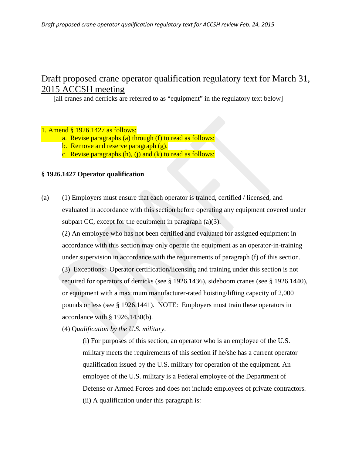# Draft proposed crane operator qualification regulatory text for March 31, 2015 ACCSH meeting

[all cranes and derricks are referred to as "equipment" in the regulatory text below]

### 1. Amend § 1926.1427 as follows:

- a. Revise paragraphs (a) through (f) to read as follows:
- b. Remove and reserve paragraph (g).
- c. Revise paragraphs  $(h)$ ,  $(i)$  and  $(k)$  to read as follows:

### **§ 1926.1427 Operator qualification**

(a) (1) Employers must ensure that each operator is trained, certified / licensed, and evaluated in accordance with this section before operating any equipment covered under subpart CC, except for the equipment in paragraph (a)(3).

(2) An employee who has not been certified and evaluated for assigned equipment in accordance with this section may only operate the equipment as an operator-in-training under supervision in accordance with the requirements of paragraph (f) of this section.

(3) Exceptions: Operator certification/licensing and training under this section is not required for operators of derricks (see § 1926.1436), sideboom cranes (see § 1926.1440), or equipment with a maximum manufacturer-rated hoisting/lifting capacity of 2,000 pounds or less (see § 1926.1441). NOTE: Employers must train these operators in accordance with § 1926.1430(b).

(4) Q*ualification by the U.S. military*.

(i) For purposes of this section, an operator who is an employee of the U.S. military meets the requirements of this section if he/she has a current operator qualification issued by the U.S. military for operation of the equipment. An employee of the U.S. military is a Federal employee of the Department of Defense or Armed Forces and does not include employees of private contractors. (ii) A qualification under this paragraph is: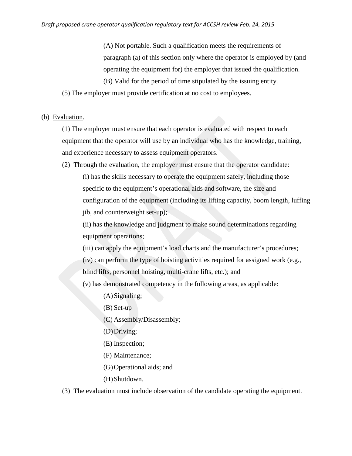(A) Not portable. Such a qualification meets the requirements of paragraph (a) of this section only where the operator is employed by (and operating the equipment for) the employer that issued the qualification. (B) Valid for the period of time stipulated by the issuing entity.

(5) The employer must provide certification at no cost to employees.

#### (b) Evaluation.

(1) The employer must ensure that each operator is evaluated with respect to each equipment that the operator will use by an individual who has the knowledge, training, and experience necessary to assess equipment operators.

(2) Through the evaluation, the employer must ensure that the operator candidate:

(i) has the skills necessary to operate the equipment safely, including those specific to the equipment's operational aids and software, the size and configuration of the equipment (including its lifting capacity, boom length, luffing jib, and counterweight set-up);

(ii) has the knowledge and judgment to make sound determinations regarding equipment operations;

- (iii) can apply the equipment's load charts and the manufacturer's procedures;
- (iv) can perform the type of hoisting activities required for assigned work (e.g.,
- blind lifts, personnel hoisting, multi-crane lifts, etc.); and

(v) has demonstrated competency in the following areas, as applicable:

- (A)Signaling;
- (B) Set-up
- (C) Assembly/Disassembly;
- (D)Driving;
- (E) Inspection;
- (F) Maintenance;
- (G)Operational aids; and
- (H)Shutdown.
- (3) The evaluation must include observation of the candidate operating the equipment.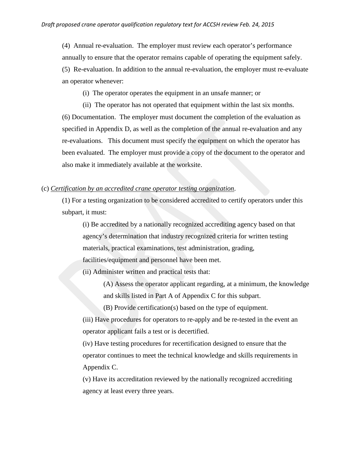(4) Annual re-evaluation. The employer must review each operator's performance annually to ensure that the operator remains capable of operating the equipment safely. (5) Re-evaluation. In addition to the annual re-evaluation, the employer must re-evaluate an operator whenever:

(i) The operator operates the equipment in an unsafe manner; or

(ii) The operator has not operated that equipment within the last six months. (6) Documentation. The employer must document the completion of the evaluation as specified in Appendix D, as well as the completion of the annual re-evaluation and any re-evaluations. This document must specify the equipment on which the operator has been evaluated. The employer must provide a copy of the document to the operator and also make it immediately available at the worksite.

#### (c) *Certification by an accredited crane operator testing organization*.

(1) For a testing organization to be considered accredited to certify operators under this subpart, it must:

(i) Be accredited by a nationally recognized accrediting agency based on that agency's determination that industry recognized criteria for written testing materials, practical examinations, test administration, grading, facilities/equipment and personnel have been met.

(ii) Administer written and practical tests that:

(A) Assess the operator applicant regarding, at a minimum, the knowledge and skills listed in Part A of Appendix C for this subpart.

(B) Provide certification(s) based on the type of equipment.

(iii) Have procedures for operators to re-apply and be re-tested in the event an operator applicant fails a test or is decertified.

(iv) Have testing procedures for recertification designed to ensure that the operator continues to meet the technical knowledge and skills requirements in Appendix C.

(v) Have its accreditation reviewed by the nationally recognized accrediting agency at least every three years.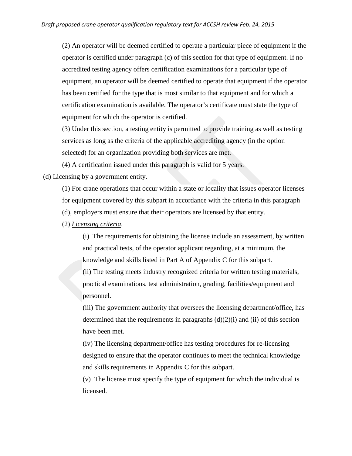(2) An operator will be deemed certified to operate a particular piece of equipment if the operator is certified under paragraph (c) of this section for that type of equipment. If no accredited testing agency offers certification examinations for a particular type of equipment, an operator will be deemed certified to operate that equipment if the operator has been certified for the type that is most similar to that equipment and for which a certification examination is available. The operator's certificate must state the type of equipment for which the operator is certified.

(3) Under this section, a testing entity is permitted to provide training as well as testing services as long as the criteria of the applicable accrediting agency (in the option selected) for an organization providing both services are met.

(4) A certification issued under this paragraph is valid for 5 years.

(d) Licensing by a government entity.

(1) For crane operations that occur within a state or locality that issues operator licenses for equipment covered by this subpart in accordance with the criteria in this paragraph (d), employers must ensure that their operators are licensed by that entity.

(2) *Licensing criteria*.

(i) The requirements for obtaining the license include an assessment, by written and practical tests, of the operator applicant regarding, at a minimum, the knowledge and skills listed in Part A of Appendix C for this subpart.

(ii) The testing meets industry recognized criteria for written testing materials, practical examinations, test administration, grading, facilities/equipment and personnel.

(iii) The government authority that oversees the licensing department/office, has determined that the requirements in paragraphs  $(d)(2)(i)$  and  $(ii)$  of this section have been met.

(iv) The licensing department/office has testing procedures for re-licensing designed to ensure that the operator continues to meet the technical knowledge and skills requirements in Appendix C for this subpart.

(v) The license must specify the type of equipment for which the individual is licensed.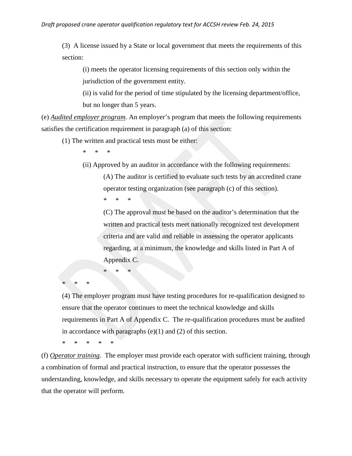(3) A license issued by a State or local government that meets the requirements of this section:

(i) meets the operator licensing requirements of this section only within the jurisdiction of the government entity.

(ii) is valid for the period of time stipulated by the licensing department/office, but no longer than 5 years.

(e) *Audited employer program*. An employer's program that meets the following requirements satisfies the certification requirement in paragraph (a) of this section:

(1) The written and practical tests must be either:

\* \* \*

(ii) Approved by an auditor in accordance with the following requirements:

(A) The auditor is certified to evaluate such tests by an accredited crane operator testing organization (see paragraph (c) of this section).

\* \* \*

\* \* \*

(C) The approval must be based on the auditor's determination that the written and practical tests meet nationally recognized test development criteria and are valid and reliable in assessing the operator applicants regarding, at a minimum, the knowledge and skills listed in Part A of Appendix C.

\* \* \*

(4) The employer program must have testing procedures for re-qualification designed to ensure that the operator continues to meet the technical knowledge and skills requirements in Part A of Appendix C. The re-qualification procedures must be audited in accordance with paragraphs  $(e)(1)$  and  $(2)$  of this section.

\* \* \* \* \*

(f) *Operator training*. The employer must provide each operator with sufficient training, through a combination of formal and practical instruction, to ensure that the operator possesses the understanding, knowledge, and skills necessary to operate the equipment safely for each activity that the operator will perform.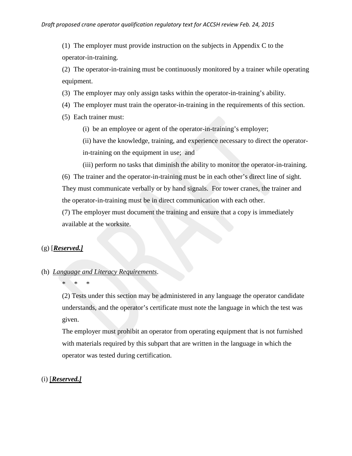(1) The employer must provide instruction on the subjects in Appendix C to the operator-in-training.

(2) The operator-in-training must be continuously monitored by a trainer while operating equipment.

- (3) The employer may only assign tasks within the operator-in-training's ability.
- (4) The employer must train the operator-in-training in the requirements of this section.
- (5) Each trainer must:
	- (i) be an employee or agent of the operator-in-training's employer;

(ii) have the knowledge, training, and experience necessary to direct the operatorin-training on the equipment in use; and

(iii) perform no tasks that diminish the ability to monitor the operator-in-training.

(6) The trainer and the operator-in-training must be in each other's direct line of sight. They must communicate verbally or by hand signals. For tower cranes, the trainer and the operator-in-training must be in direct communication with each other.

(7) The employer must document the training and ensure that a copy is immediately available at the worksite.

### (g) [*Reserved.]*

### (h) *Language and Literacy Requirements*.

### \* \* \*

(2) Tests under this section may be administered in any language the operator candidate understands, and the operator's certificate must note the language in which the test was given.

The employer must prohibit an operator from operating equipment that is not furnished with materials required by this subpart that are written in the language in which the operator was tested during certification.

#### (i) [*Reserved.]*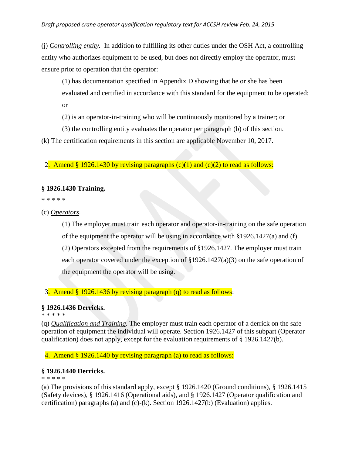(j) *Controlling entity.* In addition to fulfilling its other duties under the OSH Act, a controlling entity who authorizes equipment to be used, but does not directly employ the operator, must ensure prior to operation that the operator:

(1) has documentation specified in Appendix D showing that he or she has been evaluated and certified in accordance with this standard for the equipment to be operated; or

(2) is an operator-in-training who will be continuously monitored by a trainer; or

(3) the controlling entity evaluates the operator per paragraph (b) of this section.

(k) The certification requirements in this section are applicable November 10, 2017.

2. Amend § 1926.1430 by revising paragraphs  $(c)(1)$  and  $(c)(2)$  to read as follows:

### **§ 1926.1430 Training.**

\* \* \* \* \*

(c) *Operators*.

(1) The employer must train each operator and operator-in-training on the safe operation of the equipment the operator will be using in accordance with §1926.1427(a) and (f). (2) Operators excepted from the requirements of §1926.1427. The employer must train each operator covered under the exception of  $\S 1926.1427(a)(3)$  on the safe operation of the equipment the operator will be using.

3. Amend § 1926.1436 by revising paragraph (q) to read as follows:

### **§ 1926.1436 Derricks.**

\* \* \* \* \*

(q) *Qualification and Training.* The employer must train each operator of a derrick on the safe operation of equipment the individual will operate. Section 1926.1427 of this subpart (Operator qualification) does not apply, except for the evaluation requirements of  $\S$  1926.1427(b).

4. Amend § 1926.1440 by revising paragraph (a) to read as follows:

### **§ 1926.1440 Derricks.**

\* \* \* \* \*

(a) The provisions of this standard apply, except § 1926.1420 (Ground conditions), § 1926.1415 (Safety devices), § 1926.1416 (Operational aids), and § 1926.1427 (Operator qualification and certification) paragraphs (a) and (c)-(k). Section 1926.1427(b) (Evaluation) applies.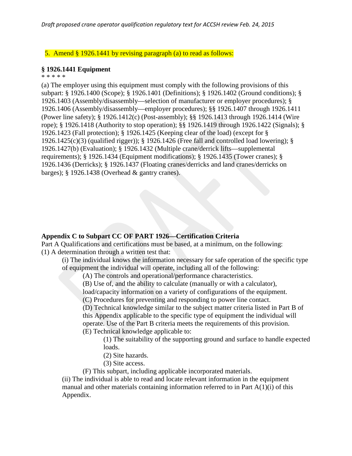### 5. Amend § 1926.1441 by revising paragraph (a) to read as follows:

#### **§ 1926.1441 Equipment**

\* \* \* \* \*

(a) The employer using this equipment must comply with the following provisions of this subpart: § 1926.1400 (Scope); § 1926.1401 (Definitions); § 1926.1402 (Ground conditions); § 1926.1403 (Assembly/disassembly—selection of manufacturer or employer procedures); § 1926.1406 (Assembly/disassembly—employer procedures); §§ 1926.1407 through 1926.1411 (Power line safety); § 1926.1412(c) (Post-assembly); §§ 1926.1413 through 1926.1414 (Wire rope); § 1926.1418 (Authority to stop operation); §§ 1926.1419 through 1926.1422 (Signals); § 1926.1423 (Fall protection); § 1926.1425 (Keeping clear of the load) (except for § 1926.1425(c)(3) (qualified rigger)); § 1926.1426 (Free fall and controlled load lowering); § 1926.1427(b) (Evaluation); § 1926.1432 (Multiple crane/derrick lifts—supplemental requirements); § 1926.1434 (Equipment modifications); § 1926.1435 (Tower cranes); § 1926.1436 (Derricks); § 1926.1437 (Floating cranes/derricks and land cranes/derricks on barges); § 1926.1438 (Overhead & gantry cranes).

### **Appendix C to Subpart CC OF PART 1926—Certification Criteria**

Part A Qualifications and certifications must be based, at a minimum, on the following: (1) A determination through a written test that:

(i) The individual knows the information necessary for safe operation of the specific type of equipment the individual will operate, including all of the following:

(A) The controls and operational/performance characteristics.

(B) Use of, and the ability to calculate (manually or with a calculator),

load/capacity information on a variety of configurations of the equipment.

(C) Procedures for preventing and responding to power line contact.

(D) Technical knowledge similar to the subject matter criteria listed in Part B of this Appendix applicable to the specific type of equipment the individual will operate. Use of the Part B criteria meets the requirements of this provision. (E) Technical knowledge applicable to:

(1) The suitability of the supporting ground and surface to handle expected loads.

(2) Site hazards.

(3) Site access.

(F) This subpart, including applicable incorporated materials.

(ii) The individual is able to read and locate relevant information in the equipment manual and other materials containing information referred to in Part  $A(1)(i)$  of this Appendix.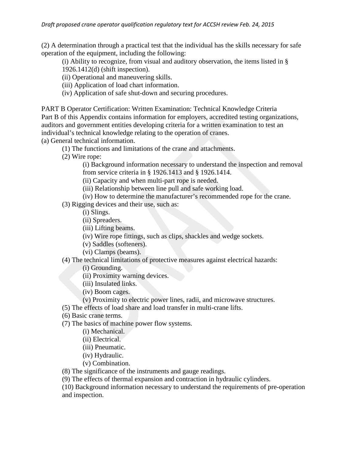(2) A determination through a practical test that the individual has the skills necessary for safe operation of the equipment, including the following:

(i) Ability to recognize, from visual and auditory observation, the items listed in § 1926.1412(d) (shift inspection).

(ii) Operational and maneuvering skills.

(iii) Application of load chart information.

(iv) Application of safe shut-down and securing procedures.

PART B Operator Certification: Written Examination: Technical Knowledge Criteria Part B of this Appendix contains information for employers, accredited testing organizations, auditors and government entities developing criteria for a written examination to test an individual's technical knowledge relating to the operation of cranes. (a) General technical information.

(1) The functions and limitations of the crane and attachments.

(2) Wire rope:

(i) Background information necessary to understand the inspection and removal from service criteria in § 1926.1413 and § 1926.1414.

(ii) Capacity and when multi-part rope is needed.

(iii) Relationship between line pull and safe working load.

(iv) How to determine the manufacturer's recommended rope for the crane.

(3) Rigging devices and their use, such as:

(i) Slings.

(ii) Spreaders.

(iii) Lifting beams.

(iv) Wire rope fittings, such as clips, shackles and wedge sockets.

(v) Saddles (softeners).

(vi) Clamps (beams).

(4) The technical limitations of protective measures against electrical hazards:

(i) Grounding.

(ii) Proximity warning devices.

(iii) Insulated links.

(iv) Boom cages.

(v) Proximity to electric power lines, radii, and microwave structures.

(5) The effects of load share and load transfer in multi-crane lifts.

(6) Basic crane terms.

(7) The basics of machine power flow systems.

(i) Mechanical.

(ii) Electrical.

(iii) Pneumatic.

(iv) Hydraulic.

(v) Combination.

(8) The significance of the instruments and gauge readings.

(9) The effects of thermal expansion and contraction in hydraulic cylinders.

(10) Background information necessary to understand the requirements of pre-operation and inspection.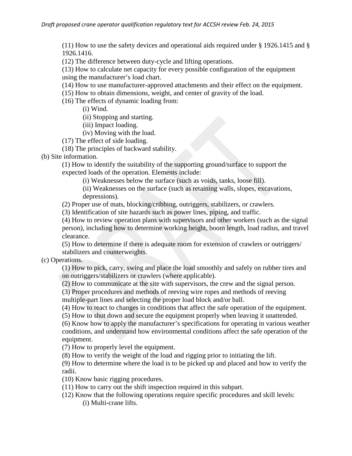(11) How to use the safety devices and operational aids required under § 1926.1415 and § 1926.1416.

(12) The difference between duty-cycle and lifting operations.

(13) How to calculate net capacity for every possible configuration of the equipment using the manufacturer's load chart.

- (14) How to use manufacturer-approved attachments and their effect on the equipment.
- (15) How to obtain dimensions, weight, and center of gravity of the load.
- (16) The effects of dynamic loading from:

(i) Wind.

(ii) Stopping and starting.

- (iii) Impact loading.
- (iv) Moving with the load.
- (17) The effect of side loading.

(18) The principles of backward stability.

(b) Site information.

(1) How to identify the suitability of the supporting ground/surface to support the expected loads of the operation. Elements include:

(i) Weaknesses below the surface (such as voids, tanks, loose fill).

(ii) Weaknesses on the surface (such as retaining walls, slopes, excavations, depressions).

(2) Proper use of mats, blocking/cribbing, outriggers, stabilizers, or crawlers.

(3) Identification of site hazards such as power lines, piping, and traffic.

(4) How to review operation plans with supervisors and other workers (such as the signal person), including how to determine working height, boom length, load radius, and travel clearance.

(5) How to determine if there is adequate room for extension of crawlers or outriggers/ stabilizers and counterweights.

(c) Operations.

(1) How to pick, carry, swing and place the load smoothly and safely on rubber tires and on outriggers/stabilizers or crawlers (where applicable).

(2) How to communicate at the site with supervisors, the crew and the signal person.

(3) Proper procedures and methods of reeving wire ropes and methods of reeving multiple-part lines and selecting the proper load block and/or ball.

(4) How to react to changes in conditions that affect the safe operation of the equipment.

(5) How to shut down and secure the equipment properly when leaving it unattended.

(6) Know how to apply the manufacturer's specifications for operating in various weather conditions, and understand how environmental conditions affect the safe operation of the equipment.

(7) How to properly level the equipment.

(8) How to verify the weight of the load and rigging prior to initiating the lift.

(9) How to determine where the load is to be picked up and placed and how to verify the radii.

(10) Know basic rigging procedures.

(11) How to carry out the shift inspection required in this subpart.

(12) Know that the following operations require specific procedures and skill levels: (i) Multi-crane lifts.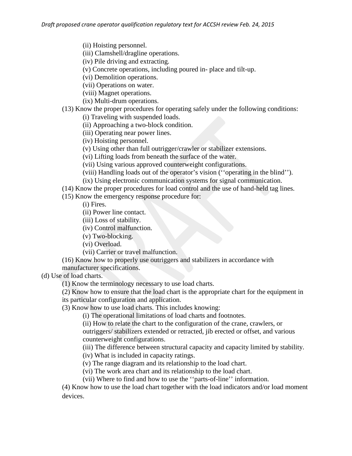(ii) Hoisting personnel.

(iii) Clamshell/dragline operations.

(iv) Pile driving and extracting.

(v) Concrete operations, including poured in- place and tilt-up.

(vi) Demolition operations.

(vii) Operations on water.

(viii) Magnet operations.

(ix) Multi-drum operations.

(13) Know the proper procedures for operating safely under the following conditions: (i) Traveling with suspended loads.

(ii) Approaching a two-block condition.

(iii) Operating near power lines.

(iv) Hoisting personnel.

(v) Using other than full outrigger/crawler or stabilizer extensions.

(vi) Lifting loads from beneath the surface of the water.

(vii) Using various approved counterweight configurations.

(viii) Handling loads out of the operator's vision (''operating in the blind'').

(ix) Using electronic communication systems for signal communication.

(14) Know the proper procedures for load control and the use of hand-held tag lines.

### (15) Know the emergency response procedure for:

(i) Fires.

(ii) Power line contact.

(iii) Loss of stability.

(iv) Control malfunction.

(v) Two-blocking.

(vi) Overload.

(vii) Carrier or travel malfunction.

(16) Know how to properly use outriggers and stabilizers in accordance with

manufacturer specifications.

(d) Use of load charts.

(1) Know the terminology necessary to use load charts.

(2) Know how to ensure that the load chart is the appropriate chart for the equipment in its particular configuration and application.

(3) Know how to use load charts. This includes knowing:

(i) The operational limitations of load charts and footnotes.

(ii) How to relate the chart to the configuration of the crane, crawlers, or

outriggers/ stabilizers extended or retracted, jib erected or offset, and various counterweight configurations.

(iii) The difference between structural capacity and capacity limited by stability.

(iv) What is included in capacity ratings.

(v) The range diagram and its relationship to the load chart.

(vi) The work area chart and its relationship to the load chart.

(vii) Where to find and how to use the ''parts-of-line'' information.

(4) Know how to use the load chart together with the load indicators and/or load moment devices.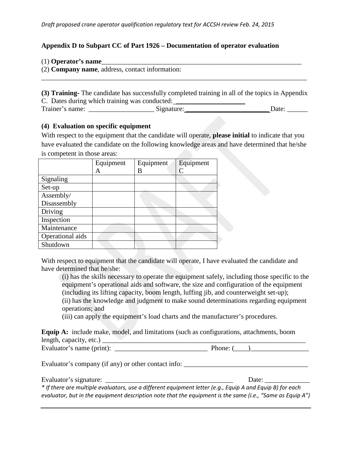### **Appendix D to Subpart CC of Part 1926 – Documentation of operator evaluation**

| $(1)$ Operator's name |  |
|-----------------------|--|
|                       |  |

(2) **Company name**, address, contact information:

**(3) Training-** The candidate has successfully completed training in all of the topics in Appendix C. Dates during which training was conducted: \_\_\_\_\_\_\_\_\_\_\_\_\_\_\_\_\_\_\_\_\_\_\_\_\_\_\_\_\_\_\_\_\_\_ Trainer's name: \_\_\_\_\_\_\_\_\_\_\_\_\_\_\_\_\_\_\_ Signature: \_\_\_\_\_\_\_\_\_\_\_\_\_\_\_\_\_\_\_\_\_\_\_\_ Date: \_\_\_\_\_\_

\_\_\_\_\_\_\_\_\_\_\_\_\_\_\_\_\_\_\_\_\_\_\_\_\_\_\_\_\_\_\_\_\_\_\_\_\_\_\_\_\_\_\_\_\_\_\_\_\_\_\_\_\_\_\_\_\_\_\_\_\_\_\_\_\_\_\_\_\_\_\_\_\_\_\_\_\_

#### **(4) Evaluation on specific equipment**

With respect to the equipment that the candidate will operate, **please initial** to indicate that you have evaluated the candidate on the following knowledge areas and have determined that he/she is competent in those areas:

|                  | Equipment | Equipment | Equipment |
|------------------|-----------|-----------|-----------|
|                  | A         | B         |           |
| Signaling        |           |           |           |
| Set-up           |           |           |           |
| Assembly/        |           |           |           |
| Disassembly      |           |           |           |
| Driving          |           |           |           |
| Inspection       |           |           |           |
| Maintenance      |           |           |           |
| Operational aids |           |           |           |
| Shutdown         |           |           |           |

With respect to equipment that the candidate will operate. I have evaluated the candidate and have determined that he/she:

(i) has the skills necessary to operate the equipment safely, including those specific to the equipment's operational aids and software, the size and configuration of the equipment (including its lifting capacity, boom length, luffing jib, and counterweight set-up); (ii) has the knowledge and judgment to make sound determinations regarding equipment operations; and

(iii) can apply the equipment's load charts and the manufacturer's procedures.

|                                                  | <b>Equip A:</b> include make, model, and limitations (such as configurations, attachments, boom |
|--------------------------------------------------|-------------------------------------------------------------------------------------------------|
| length, capacity, etc.) $\overline{\phantom{a}}$ |                                                                                                 |
| Evaluator's name (print):                        | Phone: 0                                                                                        |

Evaluator's company (if any) or other contact info: \_\_\_\_\_\_\_\_\_\_\_\_\_\_\_\_\_\_\_\_\_\_\_\_\_\_\_\_\_

|  | Evaluator's signature: |
|--|------------------------|
|  |                        |

Date:

*\* If there are multiple evaluators, use a different equipment letter (e.g., Equip A and Equip B) for each evaluator, but in the equipment description note that the equipment is the same (i.e., "Same as Equip A")*